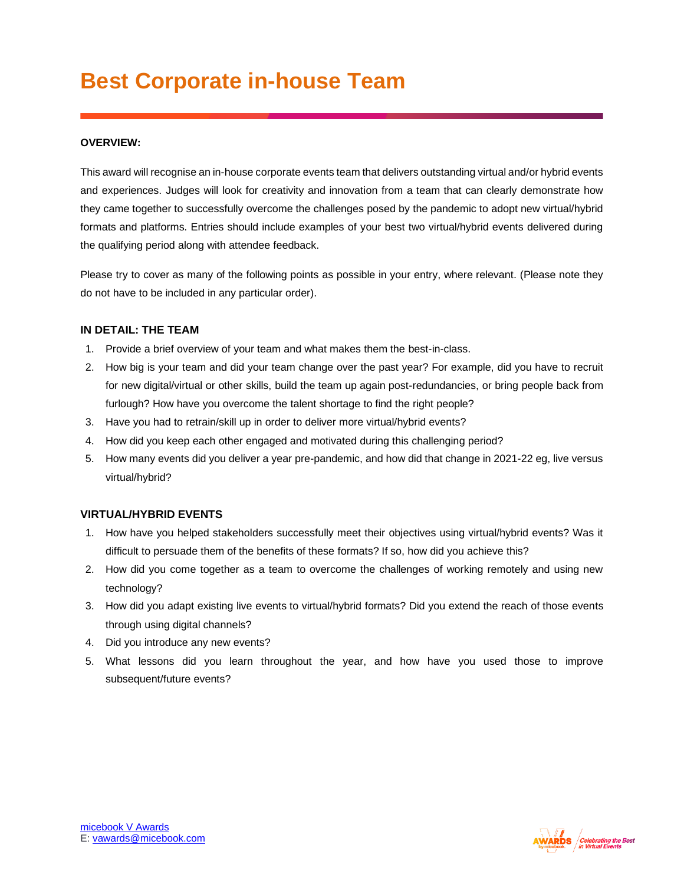# **Best Corporate in-house Team**

### **OVERVIEW:**

This award will recognise an in-house corporate events team that delivers outstanding virtual and/or hybrid events and experiences. Judges will look for creativity and innovation from a team that can clearly demonstrate how they came together to successfully overcome the challenges posed by the pandemic to adopt new virtual/hybrid formats and platforms. Entries should include examples of your best two virtual/hybrid events delivered during the qualifying period along with attendee feedback.

Please try to cover as many of the following points as possible in your entry, where relevant. (Please note they do not have to be included in any particular order).

#### **IN DETAIL: THE TEAM**

- 1. Provide a brief overview of your team and what makes them the best-in-class.
- 2. How big is your team and did your team change over the past year? For example, did you have to recruit for new digital/virtual or other skills, build the team up again post-redundancies, or bring people back from furlough? How have you overcome the talent shortage to find the right people?
- 3. Have you had to retrain/skill up in order to deliver more virtual/hybrid events?
- 4. How did you keep each other engaged and motivated during this challenging period?
- 5. How many events did you deliver a year pre-pandemic, and how did that change in 2021-22 eg, live versus virtual/hybrid?

#### **VIRTUAL/HYBRID EVENTS**

- 1. How have you helped stakeholders successfully meet their objectives using virtual/hybrid events? Was it difficult to persuade them of the benefits of these formats? If so, how did you achieve this?
- 2. How did you come together as a team to overcome the challenges of working remotely and using new technology?
- 3. How did you adapt existing live events to virtual/hybrid formats? Did you extend the reach of those events through using digital channels?
- 4. Did you introduce any new events?
- 5. What lessons did you learn throughout the year, and how have you used those to improve subsequent/future events?